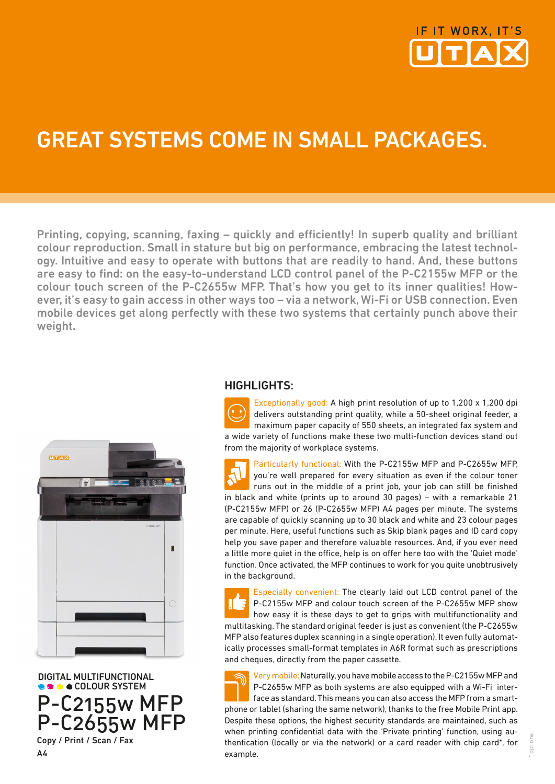

## GREAT SYSTEMS COME IN SMALL PACKAGES.

Printing, copying, scanning, faxing – quickly and efficiently! In superb quality and brilliant colour reproduction. Small in stature but big on performance, embracing the latest technology. Intuitive and easy to operate with buttons that are readily to hand. And, these buttons are easy to find: on the easy-to-understand LCD control panel of the P-C2155w MFP or the colour touch screen of the P-C2655w MFP. That's how you get to its inner qualities! However, it's easy to gain access in other ways too – via a network, Wi-Fi or USB connection. Even mobile devices get along perfectly with these two systems that certainly punch above their weight.



 DIGITAL MULTIFUNCTIONAL COLOUR SYSTEM P-C2155w MFP P-C2655w MFP Copy / Print / Scan / Fax

A4

## HIGHLIGHTS:

Exceptionally good: A high print resolution of up to 1,200 x 1,200 dpi delivers outstanding print quality, while a 50-sheet original feeder, a maximum paper capacity of 550 sheets, an integrated fax system and a wide variety of functions make these two multi-function devices stand out from the majority of workplace systems.

Particularly functional: With the P-C2155w MFP and P-C2655w MFP, you're well prepared for every situation as even if the colour toner runs out in the middle of a print job, your job can still be finished in black and white (prints up to around 30 pages) – with a remarkable 21 (P-C2155w MFP) or 26 (P-C2655w MFP) A4 pages per minute. The systems are capable of quickly scanning up to 30 black and white and 23 colour pages per minute. Here, useful functions such as Skip blank pages and ID card copy help you save paper and therefore valuable resources. And, if you ever need a little more quiet in the office, help is on offer here too with the 'Quiet mode' function. Once activated, the MFP continues to work for you quite unobtrusively in the background.

Especially convenient: The clearly laid out LCD control panel of the P-C2155w MFP and colour touch screen of the P-C2655w MFP show how easy it is these days to get to grips with multifunctionality and multitasking. The standard original feeder is just as convenient (the P-C2655w MFP also features duplex scanning in a single operation). It even fully automatically processes small-format templates in A6R format such as prescriptions and cheques, directly from the paper cassette.

Very mobile: Naturally, you have mobile access to the P-C2155w MFP and P-C2655w MFP as both systems are also equipped with a Wi-Fi interface as standard. This means you can also access the MFP from a smartphone or tablet (sharing the same network), thanks to the free Mobile Print app. Despite these options, the highest security standards are maintained, such as when printing confidential data with the 'Private printing' function, using authentication (locally or via the network) or a card reader with chip card\*, for example.

optiona